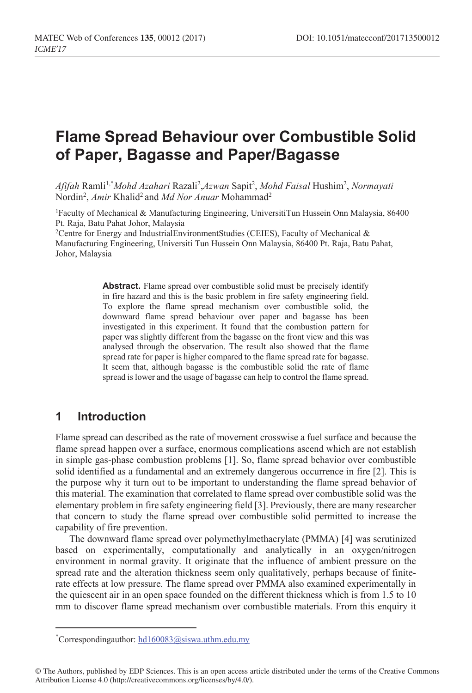# **Flame Spread Behaviour over Combustible Solid of Paper, Bagasse and Paper/Bagasse**

*Afifah* Ramli1,\* *Mohd Azahari* Razali2 ,*Azwan* Sapit2 , *Mohd Faisal* Hushim2 , *Normayati* Nordin<sup>2</sup>, *Amir* Khalid<sup>2</sup> and *Md Nor Anuar* Mohammad<sup>2</sup>

1Faculty of Mechanical & Manufacturing Engineering, UniversitiTun Hussein Onn Malaysia, 86400 Pt. Raja, Batu Pahat Johor, Malaysia

<sup>2</sup>Centre for Energy and IndustrialEnvironmentStudies (CEIES), Faculty of Mechanical  $\&$ Manufacturing Engineering, Universiti Tun Hussein Onn Malaysia, 86400 Pt. Raja, Batu Pahat, Johor, Malaysia

> Abstract. Flame spread over combustible solid must be precisely identify in fire hazard and this is the basic problem in fire safety engineering field. To explore the flame spread mechanism over combustible solid, the downward flame spread behaviour over paper and bagasse has been investigated in this experiment. It found that the combustion pattern for paper was slightly different from the bagasse on the front view and this was analysed through the observation. The result also showed that the flame spread rate for paper is higher compared to the flame spread rate for bagasse. It seem that, although bagasse is the combustible solid the rate of flame spread is lower and the usage of bagasse can help to control the flame spread.

### **1 Introduction**

Flame spread can described as the rate of movement crosswise a fuel surface and because the flame spread happen over a surface, enormous complications ascend which are not establish in simple gas-phase combustion problems [1]. So, flame spread behavior over combustible solid identified as a fundamental and an extremely dangerous occurrence in fire [2]. This is the purpose why it turn out to be important to understanding the flame spread behavior of this material. The examination that correlated to flame spread over combustible solid was the elementary problem in fire safety engineering field [3]. Previously, there are many researcher that concern to study the flame spread over combustible solid permitted to increase the capability of fire prevention.

The downward flame spread over polymethylmethacrylate (PMMA) [4] was scrutinized based on experimentally, computationally and analytically in an oxygen/nitrogen environment in normal gravity. It originate that the influence of ambient pressure on the spread rate and the alteration thickness seem only qualitatively, perhaps because of finiterate effects at low pressure. The flame spread over PMMA also examined experimentally in the quiescent air in an open space founded on the different thickness which is from 1.5 to 10 mm to discover flame spread mechanism over combustible materials. From this enquiry it

 <sup>\*</sup>  ${}^*$ Correspondingauthor: hd160083@siswa.uthm.edu.my

<sup>©</sup> The Authors, published by EDP Sciences. This is an open access article distributed under the terms of the Creative Commons Attribution License 4.0 (http://creativecommons.org/licenses/by/4.0/).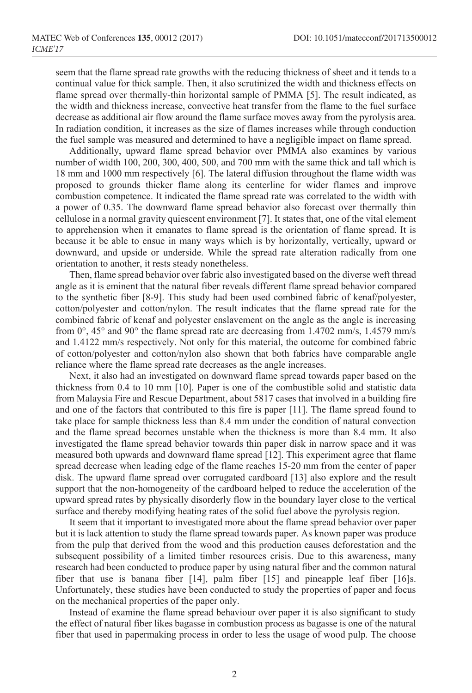seem that the flame spread rate growths with the reducing thickness of sheet and it tends to a continual value for thick sample. Then, it also scrutinized the width and thickness effects on flame spread over thermally-thin horizontal sample of PMMA [5]. The result indicated, as the width and thickness increase, convective heat transfer from the flame to the fuel surface decrease as additional air flow around the flame surface moves away from the pyrolysis area. In radiation condition, it increases as the size of flames increases while through conduction the fuel sample was measured and determined to have a negligible impact on flame spread.

Additionally, upward flame spread behavior over PMMA also examines by various number of width 100, 200, 300, 400, 500, and 700 mm with the same thick and tall which is 18 mm and 1000 mm respectively [6]. The lateral diffusion throughout the flame width was proposed to grounds thicker flame along its centerline for wider flames and improve combustion competence. It indicated the flame spread rate was correlated to the width with a power of 0.35. The downward flame spread behavior also forecast over thermally thin cellulose in a normal gravity quiescent environment [7]. It states that, one of the vital element to apprehension when it emanates to flame spread is the orientation of flame spread. It is because it be able to ensue in many ways which is by horizontally, vertically, upward or downward, and upside or underside. While the spread rate alteration radically from one orientation to another, it rests steady nonetheless.

Then, flame spread behavior over fabric also investigated based on the diverse weft thread angle as it is eminent that the natural fiber reveals different flame spread behavior compared to the synthetic fiber [8-9]. This study had been used combined fabric of kenaf/polyester, cotton/polyester and cotton/nylon. The result indicates that the flame spread rate for the combined fabric of kenaf and polyester enslavement on the angle as the angle is increasing from 0°, 45° and 90° the flame spread rate are decreasing from 1.4702 mm/s, 1.4579 mm/s and 1.4122 mm/s respectively. Not only for this material, the outcome for combined fabric of cotton/polyester and cotton/nylon also shown that both fabrics have comparable angle reliance where the flame spread rate decreases as the angle increases.

Next, it also had an investigated on downward flame spread towards paper based on the thickness from 0.4 to 10 mm [10]. Paper is one of the combustible solid and statistic data from Malaysia Fire and Rescue Department, about 5817 cases that involved in a building fire and one of the factors that contributed to this fire is paper [11]. The flame spread found to take place for sample thickness less than 8.4 mm under the condition of natural convection and the flame spread becomes unstable when the thickness is more than 8.4 mm. It also investigated the flame spread behavior towards thin paper disk in narrow space and it was measured both upwards and downward flame spread [12]. This experiment agree that flame spread decrease when leading edge of the flame reaches 15-20 mm from the center of paper disk. The upward flame spread over corrugated cardboard [13] also explore and the result support that the non-homogeneity of the cardboard helped to reduce the acceleration of the upward spread rates by physically disorderly flow in the boundary layer close to the vertical surface and thereby modifying heating rates of the solid fuel above the pyrolysis region.

It seem that it important to investigated more about the flame spread behavior over paper but it is lack attention to study the flame spread towards paper. As known paper was produce from the pulp that derived from the wood and this production causes deforestation and the subsequent possibility of a limited timber resources crisis. Due to this awareness, many research had been conducted to produce paper by using natural fiber and the common natural fiber that use is banana fiber [14], palm fiber [15] and pineapple leaf fiber [16]s. Unfortunately, these studies have been conducted to study the properties of paper and focus on the mechanical properties of the paper only.

Instead of examine the flame spread behaviour over paper it is also significant to study the effect of natural fiber likes bagasse in combustion process as bagasse is one of the natural fiber that used in papermaking process in order to less the usage of wood pulp. The choose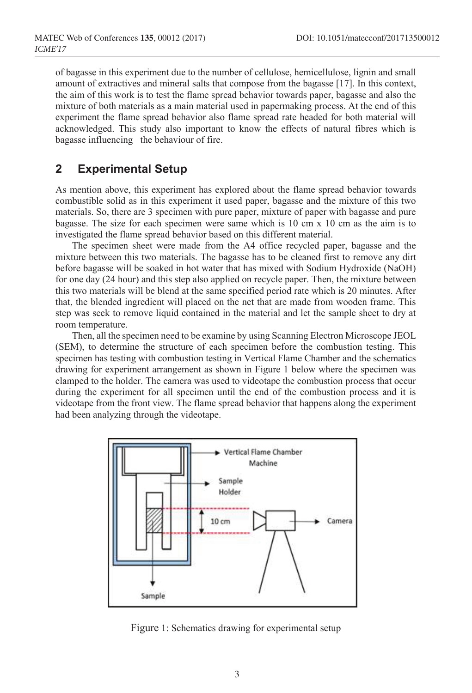of bagasse in this experiment due to the number of cellulose, hemicellulose, lignin and small amount of extractives and mineral salts that compose from the bagasse [17]. In this context, the aim of this work is to test the flame spread behavior towards paper, bagasse and also the mixture of both materials as a main material used in papermaking process. At the end of this experiment the flame spread behavior also flame spread rate headed for both material will acknowledged. This study also important to know the effects of natural fibres which is bagasse influencing the behaviour of fire.

### **2 Experimental Setup**

As mention above, this experiment has explored about the flame spread behavior towards combustible solid as in this experiment it used paper, bagasse and the mixture of this two materials. So, there are 3 specimen with pure paper, mixture of paper with bagasse and pure bagasse. The size for each specimen were same which is 10 cm x 10 cm as the aim is to investigated the flame spread behavior based on this different material.

The specimen sheet were made from the A4 office recycled paper, bagasse and the mixture between this two materials. The bagasse has to be cleaned first to remove any dirt before bagasse will be soaked in hot water that has mixed with Sodium Hydroxide (NaOH) for one day (24 hour) and this step also applied on recycle paper. Then, the mixture between this two materials will be blend at the same specified period rate which is 20 minutes. After that, the blended ingredient will placed on the net that are made from wooden frame. This step was seek to remove liquid contained in the material and let the sample sheet to dry at room temperature.

Then, all the specimen need to be examine by using Scanning Electron Microscope JEOL (SEM), to determine the structure of each specimen before the combustion testing. This specimen has testing with combustion testing in Vertical Flame Chamber and the schematics drawing for experiment arrangement as shown in Figure 1 below where the specimen was clamped to the holder. The camera was used to videotape the combustion process that occur during the experiment for all specimen until the end of the combustion process and it is videotape from the front view. The flame spread behavior that happens along the experiment had been analyzing through the videotape.



Figure 1: Schematics drawing for experimental setup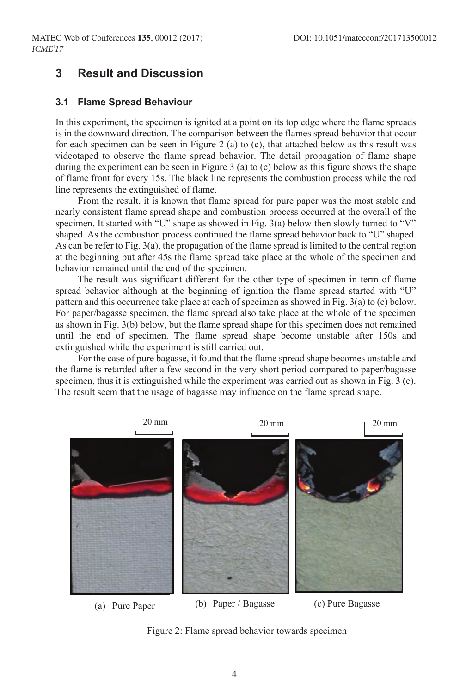### **3 Result and Discussion**

#### **3.1 Flame Spread Behaviour**

In this experiment, the specimen is ignited at a point on its top edge where the flame spreads is in the downward direction. The comparison between the flames spread behavior that occur for each specimen can be seen in Figure 2 (a) to (c), that attached below as this result was videotaped to observe the flame spread behavior. The detail propagation of flame shape during the experiment can be seen in Figure 3 (a) to (c) below as this figure shows the shape of flame front for every 15s. The black line represents the combustion process while the red line represents the extinguished of flame.

From the result, it is known that flame spread for pure paper was the most stable and nearly consistent flame spread shape and combustion process occurred at the overall of the specimen. It started with "U" shape as showed in Fig. 3(a) below then slowly turned to "V" shaped. As the combustion process continued the flame spread behavior back to "U" shaped. As can be refer to Fig. 3(a), the propagation of the flame spread is limited to the central region at the beginning but after 45s the flame spread take place at the whole of the specimen and behavior remained until the end of the specimen.

The result was significant different for the other type of specimen in term of flame spread behavior although at the beginning of ignition the flame spread started with "U" pattern and this occurrence take place at each of specimen as showed in Fig. 3(a) to (c) below. For paper/bagasse specimen, the flame spread also take place at the whole of the specimen as shown in Fig. 3(b) below, but the flame spread shape for this specimen does not remained until the end of specimen. The flame spread shape become unstable after 150s and extinguished while the experiment is still carried out.

For the case of pure bagasse, it found that the flame spread shape becomes unstable and the flame is retarded after a few second in the very short period compared to paper/bagasse specimen, thus it is extinguished while the experiment was carried out as shown in Fig. 3 (c). The result seem that the usage of bagasse may influence on the flame spread shape.



Figure 2: Flame spread behavior towards specimen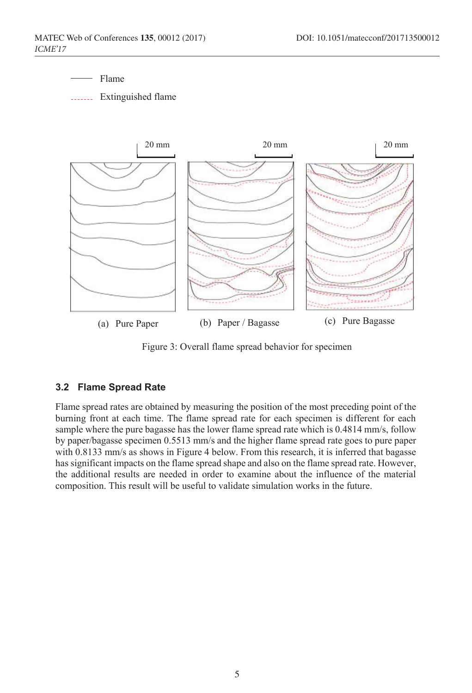Flame

**Extinguished flame** 



Figure 3: Overall flame spread behavior for specimen

#### **3.2 Flame Spread Rate**

Flame spread rates are obtained by measuring the position of the most preceding point of the burning front at each time. The flame spread rate for each specimen is different for each sample where the pure bagasse has the lower flame spread rate which is 0.4814 mm/s, follow by paper/bagasse specimen 0.5513 mm/s and the higher flame spread rate goes to pure paper with 0.8133 mm/s as shows in Figure 4 below. From this research, it is inferred that bagasse has significant impacts on the flame spread shape and also on the flame spread rate. However, the additional results are needed in order to examine about the influence of the material composition. This result will be useful to validate simulation works in the future.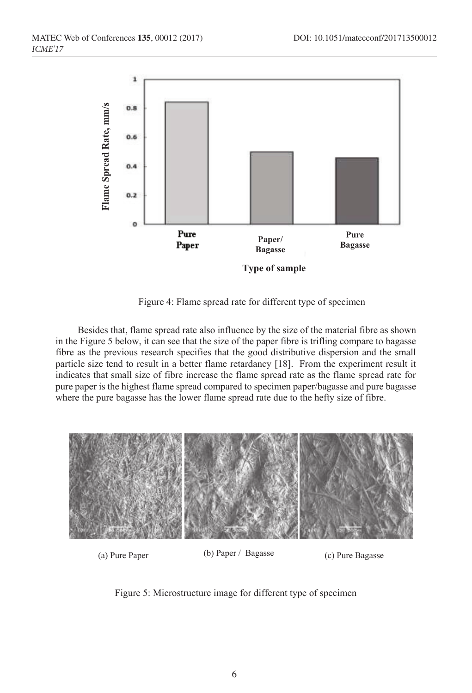

Figure 4: Flame spread rate for different type of specimen

Besides that, flame spread rate also influence by the size of the material fibre as shown in the Figure 5 below, it can see that the size of the paper fibre is trifling compare to bagasse fibre as the previous research specifies that the good distributive dispersion and the small particle size tend to result in a better flame retardancy [18]. From the experiment result it indicates that small size of fibre increase the flame spread rate as the flame spread rate for pure paper is the highest flame spread compared to specimen paper/bagasse and pure bagasse where the pure bagasse has the lower flame spread rate due to the hefty size of fibre.



(a) Pure Paper (b) Paper / Bagasse (c) Pure Bagasse

Figure 5: Microstructure image for different type of specimen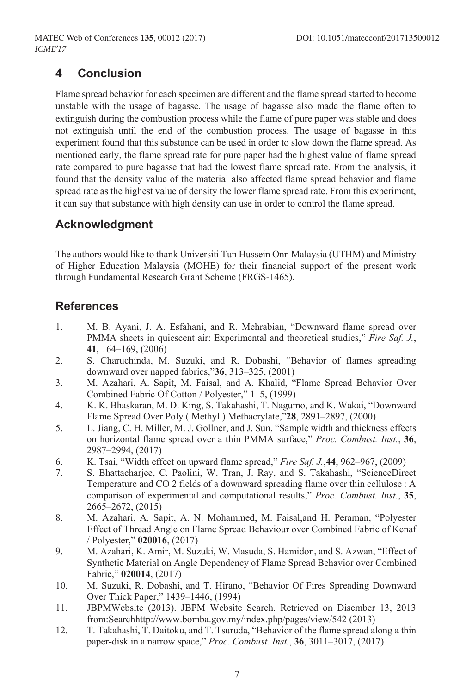### **4 Conclusion**

Flame spread behavior for each specimen are different and the flame spread started to become unstable with the usage of bagasse. The usage of bagasse also made the flame often to extinguish during the combustion process while the flame of pure paper was stable and does not extinguish until the end of the combustion process. The usage of bagasse in this experiment found that this substance can be used in order to slow down the flame spread. As mentioned early, the flame spread rate for pure paper had the highest value of flame spread rate compared to pure bagasse that had the lowest flame spread rate. From the analysis, it found that the density value of the material also affected flame spread behavior and flame spread rate as the highest value of density the lower flame spread rate. From this experiment, it can say that substance with high density can use in order to control the flame spread.

## **Acknowledgment**

The authors would like to thank Universiti Tun Hussein Onn Malaysia (UTHM) and Ministry of Higher Education Malaysia (MOHE) for their financial support of the present work through Fundamental Research Grant Scheme (FRGS-1465).

### **References**

- 1. M. B. Ayani, J. A. Esfahani, and R. Mehrabian, "Downward flame spread over PMMA sheets in quiescent air: Experimental and theoretical studies," *Fire Saf. J.*, **41**, 164–169, (2006)
- 2. S. Charuchinda, M. Suzuki, and R. Dobashi, "Behavior of flames spreading downward over napped fabrics,"**36**, 313–325, (2001)
- 3. M. Azahari, A. Sapit, M. Faisal, and A. Khalid, "Flame Spread Behavior Over Combined Fabric Of Cotton / Polyester," 1–5, (1999)
- 4. K. K. Bhaskaran, M. D. King, S. Takahashi, T. Nagumo, and K. Wakai, "Downward Flame Spread Over Poly ( Methyl ) Methacrylate,"**28**, 2891–2897, (2000)
- 5. L. Jiang, C. H. Miller, M. J. Gollner, and J. Sun, "Sample width and thickness effects on horizontal flame spread over a thin PMMA surface," *Proc. Combust. Inst.*, **36**, 2987–2994, (2017)
- 6. K. Tsai, "Width effect on upward flame spread," *Fire Saf. J.*,**44**, 962–967, (2009)
- 7. S. Bhattacharjee, C. Paolini, W. Tran, J. Ray, and S. Takahashi, "ScienceDirect Temperature and CO 2 fields of a downward spreading flame over thin cellulose : A comparison of experimental and computational results," *Proc. Combust. Inst.*, **35**, 2665–2672, (2015)
- 8. M. Azahari, A. Sapit, A. N. Mohammed, M. Faisal,and H. Peraman, "Polyester Effect of Thread Angle on Flame Spread Behaviour over Combined Fabric of Kenaf / Polyester," **020016**, (2017)
- 9. M. Azahari, K. Amir, M. Suzuki, W. Masuda, S. Hamidon, and S. Azwan, "Effect of Synthetic Material on Angle Dependency of Flame Spread Behavior over Combined Fabric," **020014**, (2017)
- 10. M. Suzuki, R. Dobashi, and T. Hirano, "Behavior Of Fires Spreading Downward Over Thick Paper," 1439–1446, (1994)
- 11. JBPMWebsite (2013). JBPM Website Search. Retrieved on Disember 13, 2013 from:Searchhttp://www.bomba.gov.my/index.php/pages/view/542 (2013)
- 12. T. Takahashi, T. Daitoku, and T. Tsuruda, "Behavior of the flame spread along a thin paper-disk in a narrow space," *Proc. Combust. Inst.*, **36**, 3011–3017, (2017)